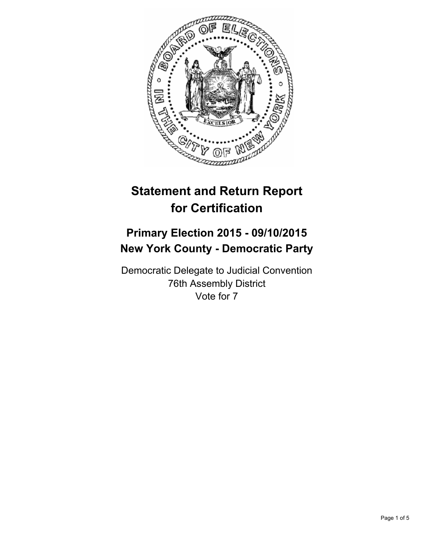

# **Statement and Return Report for Certification**

## **Primary Election 2015 - 09/10/2015 New York County - Democratic Party**

Democratic Delegate to Judicial Convention 76th Assembly District Vote for 7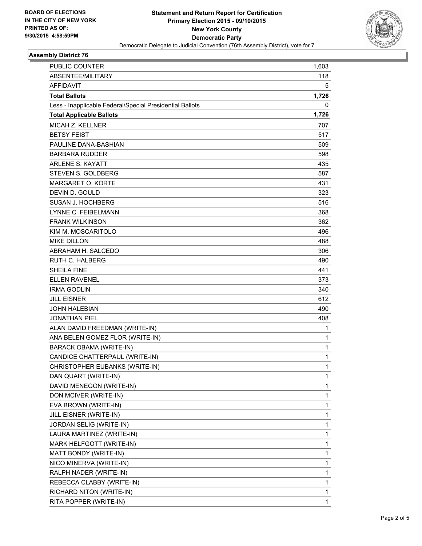

## **Assembly District 76**

| PUBLIC COUNTER                                           | 1,603       |
|----------------------------------------------------------|-------------|
| ABSENTEE/MILITARY                                        | 118         |
| AFFIDAVIT                                                | 5           |
| <b>Total Ballots</b>                                     | 1,726       |
| Less - Inapplicable Federal/Special Presidential Ballots | 0           |
| <b>Total Applicable Ballots</b>                          | 1,726       |
| MICAH Z. KELLNER                                         | 707         |
| <b>BETSY FEIST</b>                                       | 517         |
| PAULINE DANA-BASHIAN                                     | 509         |
| <b>BARBARA RUDDER</b>                                    | 598         |
| <b>ARLENE S. KAYATT</b>                                  | 435         |
| <b>STEVEN S. GOLDBERG</b>                                | 587         |
| MARGARET O. KORTE                                        | 431         |
| DEVIN D. GOULD                                           | 323         |
| SUSAN J. HOCHBERG                                        | 516         |
| LYNNE C. FEIBELMANN                                      | 368         |
| <b>FRANK WILKINSON</b>                                   | 362         |
| KIM M. MOSCARITOLO                                       | 496         |
| <b>MIKE DILLON</b>                                       | 488         |
| ABRAHAM H. SALCEDO                                       | 306         |
| <b>RUTH C. HALBERG</b>                                   | 490         |
| <b>SHEILA FINE</b>                                       | 441         |
| <b>ELLEN RAVENEL</b>                                     | 373         |
| <b>IRMA GODLIN</b>                                       | 340         |
| <b>JILL EISNER</b>                                       | 612         |
| <b>JOHN HALEBIAN</b>                                     | 490         |
| <b>JONATHAN PIEL</b>                                     | 408         |
| ALAN DAVID FREEDMAN (WRITE-IN)                           | 1           |
| ANA BELEN GOMEZ FLOR (WRITE-IN)                          | 1           |
| <b>BARACK OBAMA (WRITE-IN)</b>                           | 1           |
| CANDICE CHATTERPAUL (WRITE-IN)                           | $\mathbf 1$ |
| CHRISTOPHER EUBANKS (WRITE-IN)                           | 1           |
| DAN QUART (WRITE-IN)                                     | 1           |
| DAVID MENEGON (WRITE-IN)                                 | 1           |
| DON MCIVER (WRITE-IN)                                    | 1           |
| EVA BROWN (WRITE-IN)                                     | 1           |
| JILL EISNER (WRITE-IN)                                   | 1           |
| JORDAN SELIG (WRITE-IN)                                  | 1           |
| LAURA MARTINEZ (WRITE-IN)                                | 1           |
| MARK HELFGOTT (WRITE-IN)                                 | 1           |
| MATT BONDY (WRITE-IN)                                    | 1           |
| NICO MINERVA (WRITE-IN)                                  | 1           |
| RALPH NADER (WRITE-IN)                                   | 1           |
| REBECCA CLABBY (WRITE-IN)                                | 1           |
| RICHARD NITON (WRITE-IN)                                 | 1           |
| RITA POPPER (WRITE-IN)                                   | 1           |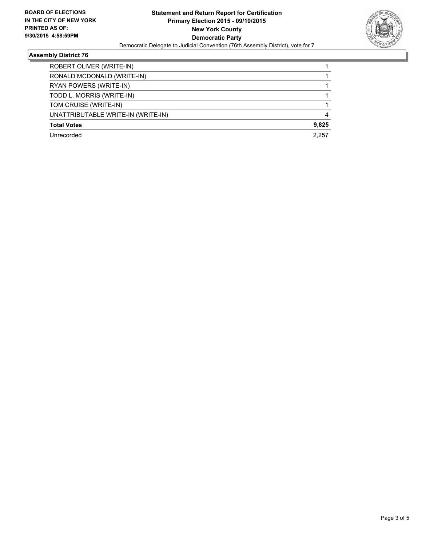

## **Assembly District 76**

| ROBERT OLIVER (WRITE-IN)           |       |
|------------------------------------|-------|
| RONALD MCDONALD (WRITE-IN)         |       |
| RYAN POWERS (WRITE-IN)             |       |
| TODD L. MORRIS (WRITE-IN)          |       |
| TOM CRUISE (WRITE-IN)              |       |
| UNATTRIBUTABLE WRITE-IN (WRITE-IN) | 4     |
| <b>Total Votes</b>                 | 9,825 |
| Unrecorded                         | 2.257 |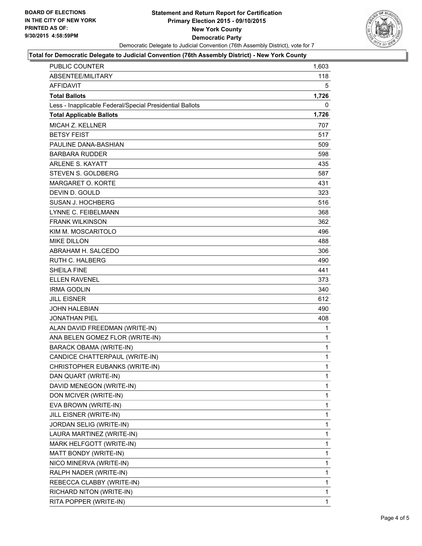

#### **Total for Democratic Delegate to Judicial Convention (76th Assembly District) - New York County**

| <b>PUBLIC COUNTER</b>                                    | 1,603        |
|----------------------------------------------------------|--------------|
| ABSENTEE/MILITARY                                        | 118          |
| <b>AFFIDAVIT</b>                                         | 5            |
| <b>Total Ballots</b>                                     | 1,726        |
| Less - Inapplicable Federal/Special Presidential Ballots | 0            |
| <b>Total Applicable Ballots</b>                          | 1,726        |
| MICAH Z. KELLNER                                         | 707          |
| <b>BETSY FEIST</b>                                       | 517          |
| PAULINE DANA-BASHIAN                                     | 509          |
| <b>BARBARA RUDDER</b>                                    | 598          |
| <b>ARLENE S. KAYATT</b>                                  | 435          |
| <b>STEVEN S. GOLDBERG</b>                                | 587          |
| MARGARET O. KORTE                                        | 431          |
| DEVIN D. GOULD                                           | 323          |
| <b>SUSAN J. HOCHBERG</b>                                 | 516          |
| LYNNE C. FEIBELMANN                                      | 368          |
| <b>FRANK WILKINSON</b>                                   | 362          |
| KIM M. MOSCARITOLO                                       | 496          |
| <b>MIKE DILLON</b>                                       | 488          |
| ABRAHAM H. SALCEDO                                       | 306          |
| <b>RUTH C. HALBERG</b>                                   | 490          |
| <b>SHEILA FINE</b>                                       | 441          |
| <b>ELLEN RAVENEL</b>                                     | 373          |
| <b>IRMA GODLIN</b>                                       | 340          |
| <b>JILL EISNER</b>                                       | 612          |
| <b>JOHN HALEBIAN</b>                                     | 490          |
| <b>JONATHAN PIEL</b>                                     | 408          |
| ALAN DAVID FREEDMAN (WRITE-IN)                           | $\mathbf{1}$ |
| ANA BELEN GOMEZ FLOR (WRITE-IN)                          | 1            |
| <b>BARACK OBAMA (WRITE-IN)</b>                           | 1            |
| CANDICE CHATTERPAUL (WRITE-IN)                           | $\mathbf{1}$ |
| CHRISTOPHER EUBANKS (WRITE-IN)                           | $\mathbf{1}$ |
| DAN QUART (WRITE-IN)                                     | 1            |
| DAVID MENEGON (WRITE-IN)                                 | 1            |
| DON MCIVER (WRITE-IN)                                    | 1            |
| EVA BROWN (WRITE-IN)                                     | 1            |
| JILL EISNER (WRITE-IN)                                   | 1            |
| JORDAN SELIG (WRITE-IN)                                  | 1            |
| LAURA MARTINEZ (WRITE-IN)                                | 1            |
| MARK HELFGOTT (WRITE-IN)                                 | 1            |
| MATT BONDY (WRITE-IN)                                    | 1            |
| NICO MINERVA (WRITE-IN)                                  | 1            |
| RALPH NADER (WRITE-IN)                                   | 1            |
| REBECCA CLABBY (WRITE-IN)                                | 1            |
| RICHARD NITON (WRITE-IN)                                 | 1            |
| RITA POPPER (WRITE-IN)                                   | $\mathbf{1}$ |